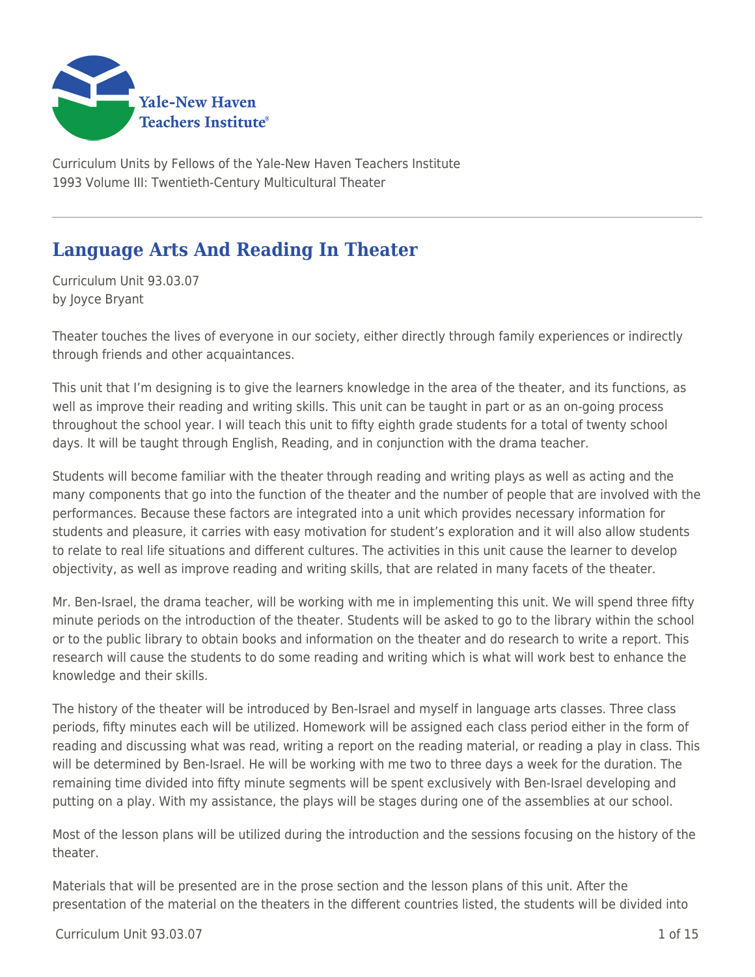

Curriculum Units by Fellows of the Yale-New Haven Teachers Institute 1993 Volume III: Twentieth-Century Multicultural Theater

# **Language Arts And Reading In Theater**

Curriculum Unit 93.03.07 by Joyce Bryant

Theater touches the lives of everyone in our society, either directly through family experiences or indirectly through friends and other acquaintances.

This unit that I'm designing is to give the learners knowledge in the area of the theater, and its functions, as well as improve their reading and writing skills. This unit can be taught in part or as an on-going process throughout the school year. I will teach this unit to fifty eighth grade students for a total of twenty school days. It will be taught through English, Reading, and in conjunction with the drama teacher.

Students will become familiar with the theater through reading and writing plays as well as acting and the many components that go into the function of the theater and the number of people that are involved with the performances. Because these factors are integrated into a unit which provides necessary information for students and pleasure, it carries with easy motivation for student's exploration and it will also allow students to relate to real life situations and different cultures. The activities in this unit cause the learner to develop objectivity, as well as improve reading and writing skills, that are related in many facets of the theater.

Mr. Ben-Israel, the drama teacher, will be working with me in implementing this unit. We will spend three fifty minute periods on the introduction of the theater. Students will be asked to go to the library within the school or to the public library to obtain books and information on the theater and do research to write a report. This research will cause the students to do some reading and writing which is what will work best to enhance the knowledge and their skills.

The history of the theater will be introduced by Ben-Israel and myself in language arts classes. Three class periods, fifty minutes each will be utilized. Homework will be assigned each class period either in the form of reading and discussing what was read, writing a report on the reading material, or reading a play in class. This will be determined by Ben-Israel. He will be working with me two to three days a week for the duration. The remaining time divided into fifty minute segments will be spent exclusively with Ben-Israel developing and putting on a play. With my assistance, the plays will be stages during one of the assemblies at our school.

Most of the lesson plans will be utilized during the introduction and the sessions focusing on the history of the theater.

Materials that will be presented are in the prose section and the lesson plans of this unit. After the presentation of the material on the theaters in the different countries listed, the students will be divided into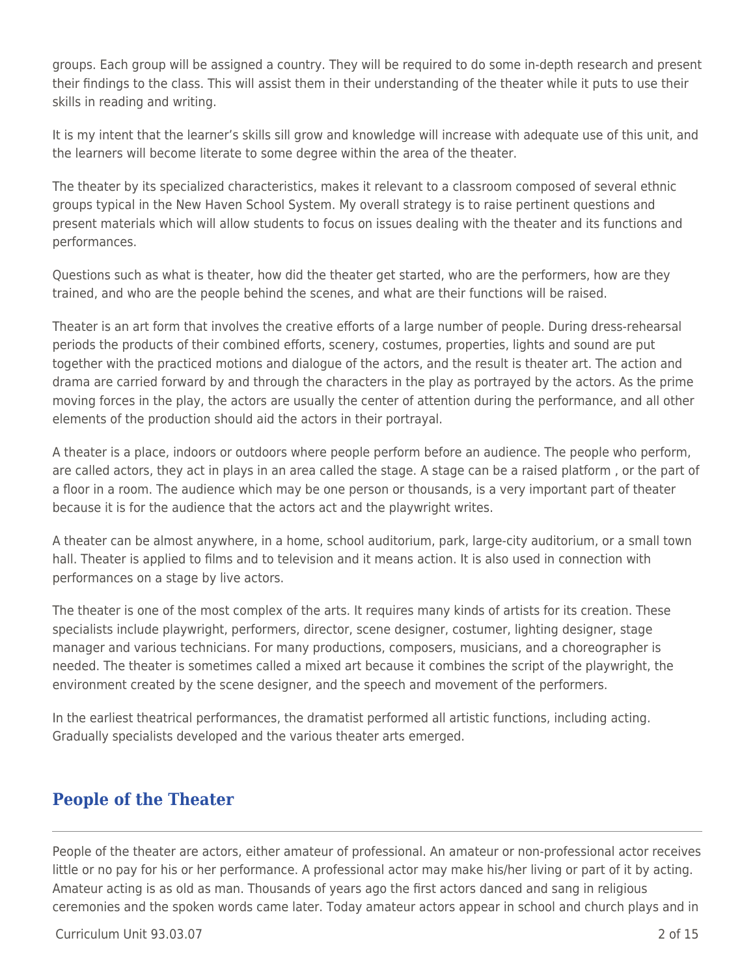groups. Each group will be assigned a country. They will be required to do some in-depth research and present their findings to the class. This will assist them in their understanding of the theater while it puts to use their skills in reading and writing.

It is my intent that the learner's skills sill grow and knowledge will increase with adequate use of this unit, and the learners will become literate to some degree within the area of the theater.

The theater by its specialized characteristics, makes it relevant to a classroom composed of several ethnic groups typical in the New Haven School System. My overall strategy is to raise pertinent questions and present materials which will allow students to focus on issues dealing with the theater and its functions and performances.

Questions such as what is theater, how did the theater get started, who are the performers, how are they trained, and who are the people behind the scenes, and what are their functions will be raised.

Theater is an art form that involves the creative efforts of a large number of people. During dress-rehearsal periods the products of their combined efforts, scenery, costumes, properties, lights and sound are put together with the practiced motions and dialogue of the actors, and the result is theater art. The action and drama are carried forward by and through the characters in the play as portrayed by the actors. As the prime moving forces in the play, the actors are usually the center of attention during the performance, and all other elements of the production should aid the actors in their portrayal.

A theater is a place, indoors or outdoors where people perform before an audience. The people who perform, are called actors, they act in plays in an area called the stage. A stage can be a raised platform , or the part of a floor in a room. The audience which may be one person or thousands, is a very important part of theater because it is for the audience that the actors act and the playwright writes.

A theater can be almost anywhere, in a home, school auditorium, park, large-city auditorium, or a small town hall. Theater is applied to films and to television and it means action. It is also used in connection with performances on a stage by live actors.

The theater is one of the most complex of the arts. It requires many kinds of artists for its creation. These specialists include playwright, performers, director, scene designer, costumer, lighting designer, stage manager and various technicians. For many productions, composers, musicians, and a choreographer is needed. The theater is sometimes called a mixed art because it combines the script of the playwright, the environment created by the scene designer, and the speech and movement of the performers.

In the earliest theatrical performances, the dramatist performed all artistic functions, including acting. Gradually specialists developed and the various theater arts emerged.

# **People of the Theater**

People of the theater are actors, either amateur of professional. An amateur or non-professional actor receives little or no pay for his or her performance. A professional actor may make his/her living or part of it by acting. Amateur acting is as old as man. Thousands of years ago the first actors danced and sang in religious ceremonies and the spoken words came later. Today amateur actors appear in school and church plays and in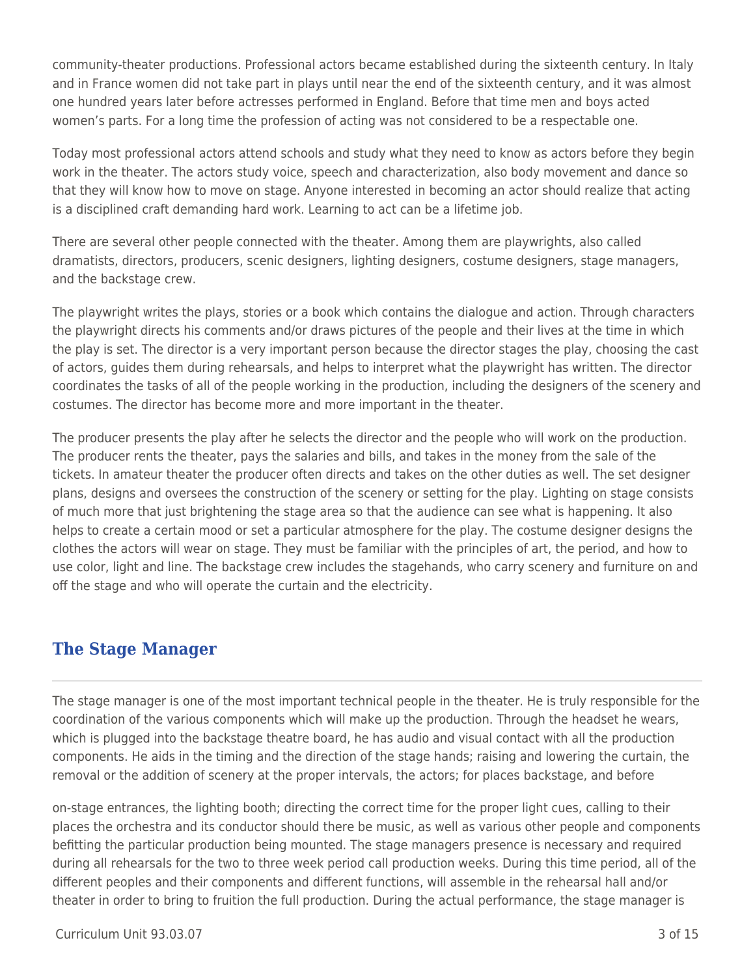community-theater productions. Professional actors became established during the sixteenth century. In Italy and in France women did not take part in plays until near the end of the sixteenth century, and it was almost one hundred years later before actresses performed in England. Before that time men and boys acted women's parts. For a long time the profession of acting was not considered to be a respectable one.

Today most professional actors attend schools and study what they need to know as actors before they begin work in the theater. The actors study voice, speech and characterization, also body movement and dance so that they will know how to move on stage. Anyone interested in becoming an actor should realize that acting is a disciplined craft demanding hard work. Learning to act can be a lifetime job.

There are several other people connected with the theater. Among them are playwrights, also called dramatists, directors, producers, scenic designers, lighting designers, costume designers, stage managers, and the backstage crew.

The playwright writes the plays, stories or a book which contains the dialogue and action. Through characters the playwright directs his comments and/or draws pictures of the people and their lives at the time in which the play is set. The director is a very important person because the director stages the play, choosing the cast of actors, guides them during rehearsals, and helps to interpret what the playwright has written. The director coordinates the tasks of all of the people working in the production, including the designers of the scenery and costumes. The director has become more and more important in the theater.

The producer presents the play after he selects the director and the people who will work on the production. The producer rents the theater, pays the salaries and bills, and takes in the money from the sale of the tickets. In amateur theater the producer often directs and takes on the other duties as well. The set designer plans, designs and oversees the construction of the scenery or setting for the play. Lighting on stage consists of much more that just brightening the stage area so that the audience can see what is happening. It also helps to create a certain mood or set a particular atmosphere for the play. The costume designer designs the clothes the actors will wear on stage. They must be familiar with the principles of art, the period, and how to use color, light and line. The backstage crew includes the stagehands, who carry scenery and furniture on and off the stage and who will operate the curtain and the electricity.

# **The Stage Manager**

The stage manager is one of the most important technical people in the theater. He is truly responsible for the coordination of the various components which will make up the production. Through the headset he wears, which is plugged into the backstage theatre board, he has audio and visual contact with all the production components. He aids in the timing and the direction of the stage hands; raising and lowering the curtain, the removal or the addition of scenery at the proper intervals, the actors; for places backstage, and before

on-stage entrances, the lighting booth; directing the correct time for the proper light cues, calling to their places the orchestra and its conductor should there be music, as well as various other people and components befitting the particular production being mounted. The stage managers presence is necessary and required during all rehearsals for the two to three week period call production weeks. During this time period, all of the different peoples and their components and different functions, will assemble in the rehearsal hall and/or theater in order to bring to fruition the full production. During the actual performance, the stage manager is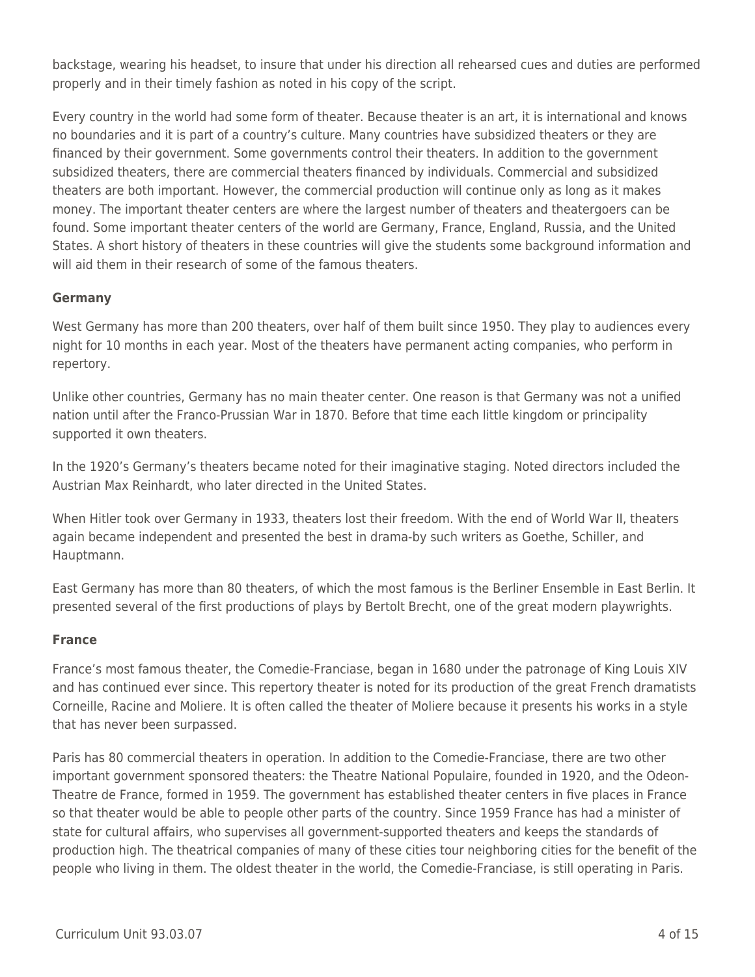backstage, wearing his headset, to insure that under his direction all rehearsed cues and duties are performed properly and in their timely fashion as noted in his copy of the script.

Every country in the world had some form of theater. Because theater is an art, it is international and knows no boundaries and it is part of a country's culture. Many countries have subsidized theaters or they are financed by their government. Some governments control their theaters. In addition to the government subsidized theaters, there are commercial theaters financed by individuals. Commercial and subsidized theaters are both important. However, the commercial production will continue only as long as it makes money. The important theater centers are where the largest number of theaters and theatergoers can be found. Some important theater centers of the world are Germany, France, England, Russia, and the United States. A short history of theaters in these countries will give the students some background information and will aid them in their research of some of the famous theaters.

## **Germany**

West Germany has more than 200 theaters, over half of them built since 1950. They play to audiences every night for 10 months in each year. Most of the theaters have permanent acting companies, who perform in repertory.

Unlike other countries, Germany has no main theater center. One reason is that Germany was not a unified nation until after the Franco-Prussian War in 1870. Before that time each little kingdom or principality supported it own theaters.

In the 1920's Germany's theaters became noted for their imaginative staging. Noted directors included the Austrian Max Reinhardt, who later directed in the United States.

When Hitler took over Germany in 1933, theaters lost their freedom. With the end of World War II, theaters again became independent and presented the best in drama-by such writers as Goethe, Schiller, and Hauptmann.

East Germany has more than 80 theaters, of which the most famous is the Berliner Ensemble in East Berlin. It presented several of the first productions of plays by Bertolt Brecht, one of the great modern playwrights.

## **France**

France's most famous theater, the Comedie-Franciase, began in 1680 under the patronage of King Louis XIV and has continued ever since. This repertory theater is noted for its production of the great French dramatists Corneille, Racine and Moliere. It is often called the theater of Moliere because it presents his works in a style that has never been surpassed.

Paris has 80 commercial theaters in operation. In addition to the Comedie-Franciase, there are two other important government sponsored theaters: the Theatre National Populaire, founded in 1920, and the Odeon-Theatre de France, formed in 1959. The government has established theater centers in five places in France so that theater would be able to people other parts of the country. Since 1959 France has had a minister of state for cultural affairs, who supervises all government-supported theaters and keeps the standards of production high. The theatrical companies of many of these cities tour neighboring cities for the benefit of the people who living in them. The oldest theater in the world, the Comedie-Franciase, is still operating in Paris.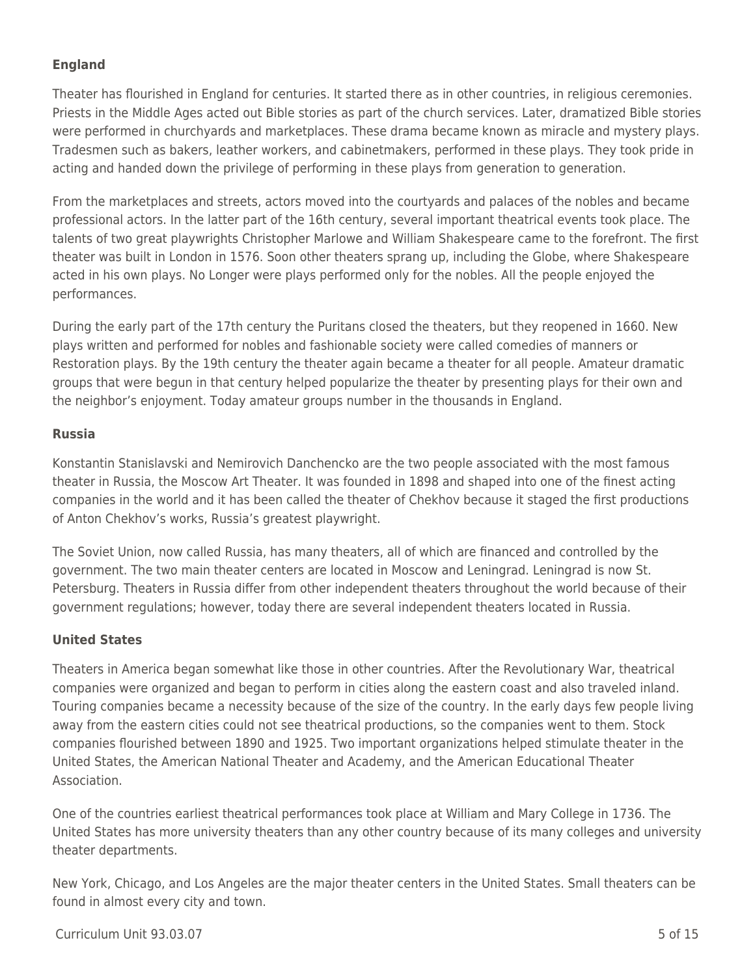## **England**

Theater has flourished in England for centuries. It started there as in other countries, in religious ceremonies. Priests in the Middle Ages acted out Bible stories as part of the church services. Later, dramatized Bible stories were performed in churchyards and marketplaces. These drama became known as miracle and mystery plays. Tradesmen such as bakers, leather workers, and cabinetmakers, performed in these plays. They took pride in acting and handed down the privilege of performing in these plays from generation to generation.

From the marketplaces and streets, actors moved into the courtyards and palaces of the nobles and became professional actors. In the latter part of the 16th century, several important theatrical events took place. The talents of two great playwrights Christopher Marlowe and William Shakespeare came to the forefront. The first theater was built in London in 1576. Soon other theaters sprang up, including the Globe, where Shakespeare acted in his own plays. No Longer were plays performed only for the nobles. All the people enjoyed the performances.

During the early part of the 17th century the Puritans closed the theaters, but they reopened in 1660. New plays written and performed for nobles and fashionable society were called comedies of manners or Restoration plays. By the 19th century the theater again became a theater for all people. Amateur dramatic groups that were begun in that century helped popularize the theater by presenting plays for their own and the neighbor's enjoyment. Today amateur groups number in the thousands in England.

## **Russia**

Konstantin Stanislavski and Nemirovich Danchencko are the two people associated with the most famous theater in Russia, the Moscow Art Theater. It was founded in 1898 and shaped into one of the finest acting companies in the world and it has been called the theater of Chekhov because it staged the first productions of Anton Chekhov's works, Russia's greatest playwright.

The Soviet Union, now called Russia, has many theaters, all of which are financed and controlled by the government. The two main theater centers are located in Moscow and Leningrad. Leningrad is now St. Petersburg. Theaters in Russia differ from other independent theaters throughout the world because of their government regulations; however, today there are several independent theaters located in Russia.

## **United States**

Theaters in America began somewhat like those in other countries. After the Revolutionary War, theatrical companies were organized and began to perform in cities along the eastern coast and also traveled inland. Touring companies became a necessity because of the size of the country. In the early days few people living away from the eastern cities could not see theatrical productions, so the companies went to them. Stock companies flourished between 1890 and 1925. Two important organizations helped stimulate theater in the United States, the American National Theater and Academy, and the American Educational Theater Association.

One of the countries earliest theatrical performances took place at William and Mary College in 1736. The United States has more university theaters than any other country because of its many colleges and university theater departments.

New York, Chicago, and Los Angeles are the major theater centers in the United States. Small theaters can be found in almost every city and town.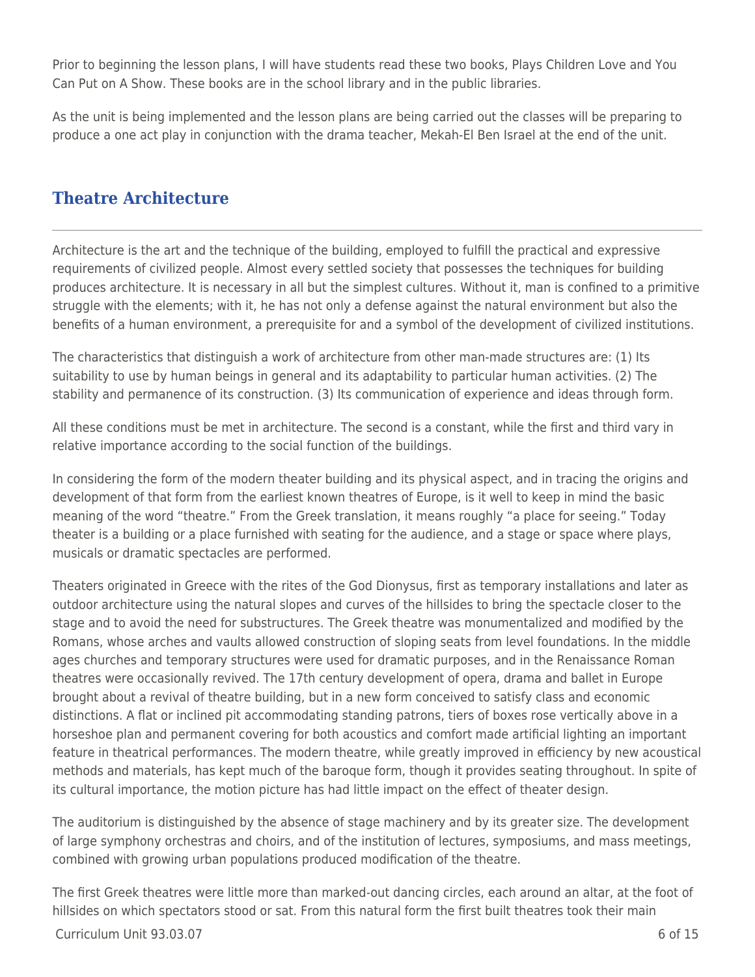Prior to beginning the lesson plans, I will have students read these two books, Plays Children Love and You Can Put on A Show. These books are in the school library and in the public libraries.

As the unit is being implemented and the lesson plans are being carried out the classes will be preparing to produce a one act play in conjunction with the drama teacher, Mekah-El Ben Israel at the end of the unit.

# **Theatre Architecture**

Architecture is the art and the technique of the building, employed to fulfill the practical and expressive requirements of civilized people. Almost every settled society that possesses the techniques for building produces architecture. It is necessary in all but the simplest cultures. Without it, man is confined to a primitive struggle with the elements; with it, he has not only a defense against the natural environment but also the benefits of a human environment, a prerequisite for and a symbol of the development of civilized institutions.

The characteristics that distinguish a work of architecture from other man-made structures are: (1) Its suitability to use by human beings in general and its adaptability to particular human activities. (2) The stability and permanence of its construction. (3) Its communication of experience and ideas through form.

All these conditions must be met in architecture. The second is a constant, while the first and third vary in relative importance according to the social function of the buildings.

In considering the form of the modern theater building and its physical aspect, and in tracing the origins and development of that form from the earliest known theatres of Europe, is it well to keep in mind the basic meaning of the word "theatre." From the Greek translation, it means roughly "a place for seeing." Today theater is a building or a place furnished with seating for the audience, and a stage or space where plays, musicals or dramatic spectacles are performed.

Theaters originated in Greece with the rites of the God Dionysus, first as temporary installations and later as outdoor architecture using the natural slopes and curves of the hillsides to bring the spectacle closer to the stage and to avoid the need for substructures. The Greek theatre was monumentalized and modified by the Romans, whose arches and vaults allowed construction of sloping seats from level foundations. In the middle ages churches and temporary structures were used for dramatic purposes, and in the Renaissance Roman theatres were occasionally revived. The 17th century development of opera, drama and ballet in Europe brought about a revival of theatre building, but in a new form conceived to satisfy class and economic distinctions. A flat or inclined pit accommodating standing patrons, tiers of boxes rose vertically above in a horseshoe plan and permanent covering for both acoustics and comfort made artificial lighting an important feature in theatrical performances. The modern theatre, while greatly improved in efficiency by new acoustical methods and materials, has kept much of the baroque form, though it provides seating throughout. In spite of its cultural importance, the motion picture has had little impact on the effect of theater design.

The auditorium is distinguished by the absence of stage machinery and by its greater size. The development of large symphony orchestras and choirs, and of the institution of lectures, symposiums, and mass meetings, combined with growing urban populations produced modification of the theatre.

The first Greek theatres were little more than marked-out dancing circles, each around an altar, at the foot of hillsides on which spectators stood or sat. From this natural form the first built theatres took their main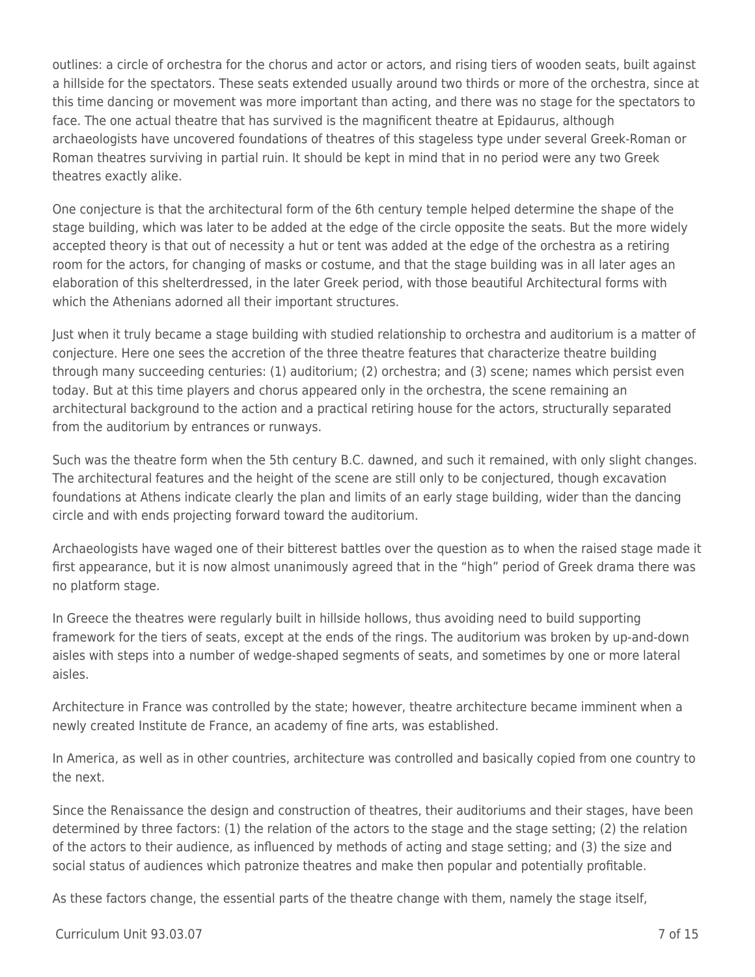outlines: a circle of orchestra for the chorus and actor or actors, and rising tiers of wooden seats, built against a hillside for the spectators. These seats extended usually around two thirds or more of the orchestra, since at this time dancing or movement was more important than acting, and there was no stage for the spectators to face. The one actual theatre that has survived is the magnificent theatre at Epidaurus, although archaeologists have uncovered foundations of theatres of this stageless type under several Greek-Roman or Roman theatres surviving in partial ruin. It should be kept in mind that in no period were any two Greek theatres exactly alike.

One conjecture is that the architectural form of the 6th century temple helped determine the shape of the stage building, which was later to be added at the edge of the circle opposite the seats. But the more widely accepted theory is that out of necessity a hut or tent was added at the edge of the orchestra as a retiring room for the actors, for changing of masks or costume, and that the stage building was in all later ages an elaboration of this shelterdressed, in the later Greek period, with those beautiful Architectural forms with which the Athenians adorned all their important structures.

Just when it truly became a stage building with studied relationship to orchestra and auditorium is a matter of conjecture. Here one sees the accretion of the three theatre features that characterize theatre building through many succeeding centuries: (1) auditorium; (2) orchestra; and (3) scene; names which persist even today. But at this time players and chorus appeared only in the orchestra, the scene remaining an architectural background to the action and a practical retiring house for the actors, structurally separated from the auditorium by entrances or runways.

Such was the theatre form when the 5th century B.C. dawned, and such it remained, with only slight changes. The architectural features and the height of the scene are still only to be conjectured, though excavation foundations at Athens indicate clearly the plan and limits of an early stage building, wider than the dancing circle and with ends projecting forward toward the auditorium.

Archaeologists have waged one of their bitterest battles over the question as to when the raised stage made it first appearance, but it is now almost unanimously agreed that in the "high" period of Greek drama there was no platform stage.

In Greece the theatres were regularly built in hillside hollows, thus avoiding need to build supporting framework for the tiers of seats, except at the ends of the rings. The auditorium was broken by up-and-down aisles with steps into a number of wedge-shaped segments of seats, and sometimes by one or more lateral aisles.

Architecture in France was controlled by the state; however, theatre architecture became imminent when a newly created Institute de France, an academy of fine arts, was established.

In America, as well as in other countries, architecture was controlled and basically copied from one country to the next.

Since the Renaissance the design and construction of theatres, their auditoriums and their stages, have been determined by three factors: (1) the relation of the actors to the stage and the stage setting; (2) the relation of the actors to their audience, as influenced by methods of acting and stage setting; and (3) the size and social status of audiences which patronize theatres and make then popular and potentially profitable.

As these factors change, the essential parts of the theatre change with them, namely the stage itself,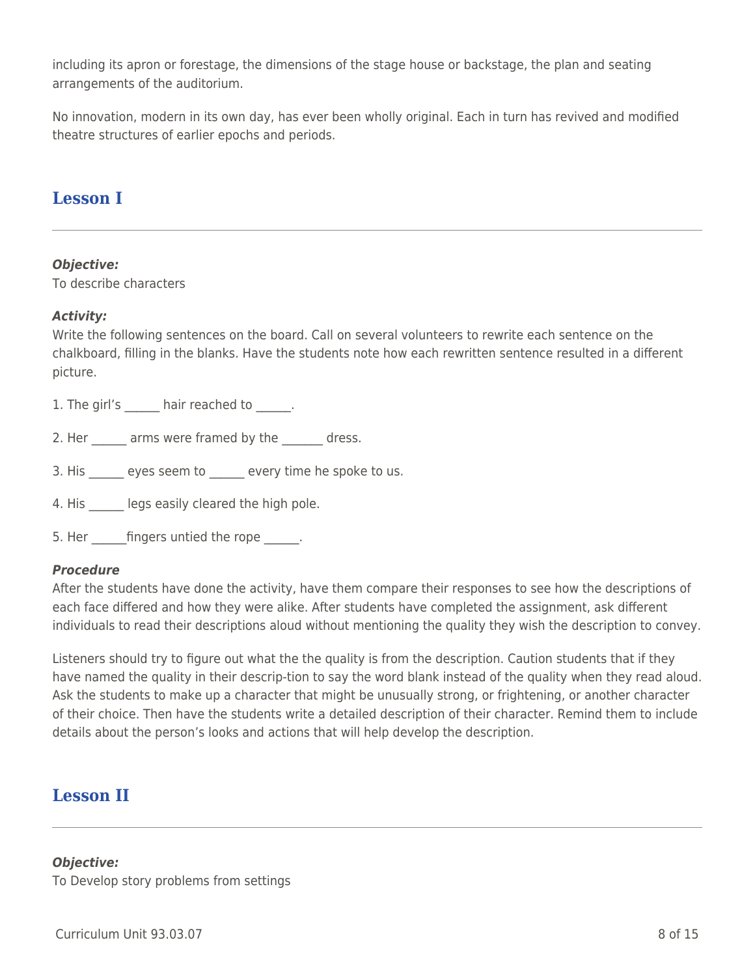including its apron or forestage, the dimensions of the stage house or backstage, the plan and seating arrangements of the auditorium.

No innovation, modern in its own day, has ever been wholly original. Each in turn has revived and modified theatre structures of earlier epochs and periods.

## **Lesson I**

#### *Objective:*

To describe characters

## *Activity:*

Write the following sentences on the board. Call on several volunteers to rewrite each sentence on the chalkboard, filling in the blanks. Have the students note how each rewritten sentence resulted in a different picture.

1. The girl's hair reached to \_\_\_\_\_\_.

2. Her arms were framed by the dress.

3. His eyes seem to every time he spoke to us.

4. His legs easily cleared the high pole.

5. Her fingers untied the rope  $\qquad \qquad$ .

## *Procedure*

After the students have done the activity, have them compare their responses to see how the descriptions of each face differed and how they were alike. After students have completed the assignment, ask different individuals to read their descriptions aloud without mentioning the quality they wish the description to convey.

Listeners should try to figure out what the the quality is from the description. Caution students that if they have named the quality in their descrip-tion to say the word blank instead of the quality when they read aloud. Ask the students to make up a character that might be unusually strong, or frightening, or another character of their choice. Then have the students write a detailed description of their character. Remind them to include details about the person's looks and actions that will help develop the description.

# **Lesson II**

#### *Objective:*

To Develop story problems from settings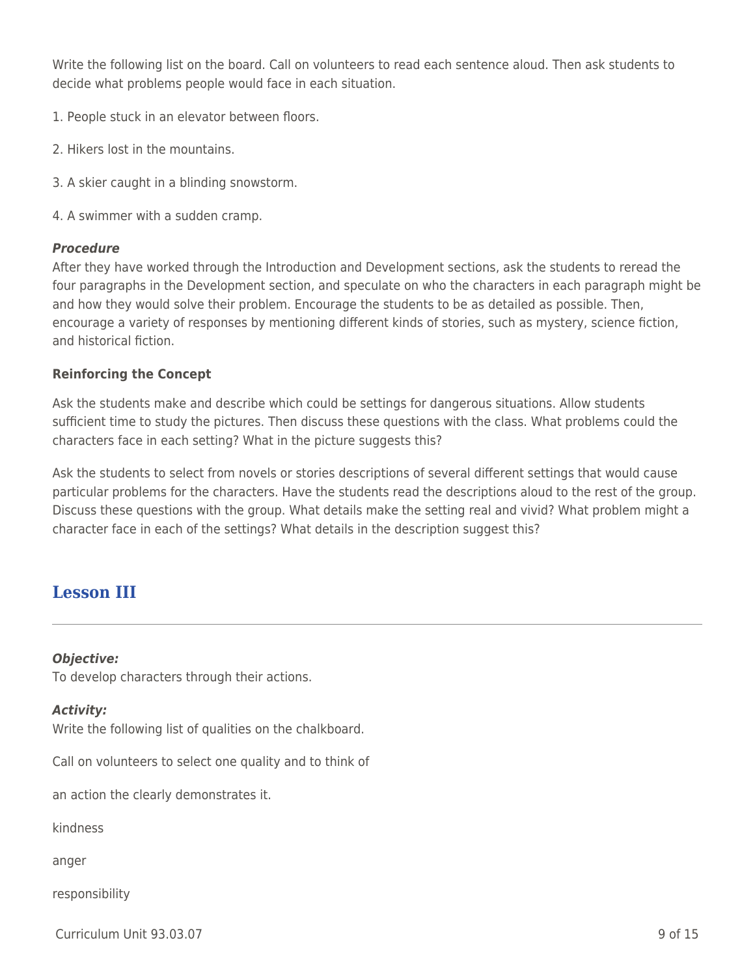Write the following list on the board. Call on volunteers to read each sentence aloud. Then ask students to decide what problems people would face in each situation.

- 1. People stuck in an elevator between floors.
- 2. Hikers lost in the mountains.
- 3. A skier caught in a blinding snowstorm.
- 4. A swimmer with a sudden cramp.

#### *Procedure*

After they have worked through the Introduction and Development sections, ask the students to reread the four paragraphs in the Development section, and speculate on who the characters in each paragraph might be and how they would solve their problem. Encourage the students to be as detailed as possible. Then, encourage a variety of responses by mentioning different kinds of stories, such as mystery, science fiction, and historical fiction.

#### **Reinforcing the Concept**

Ask the students make and describe which could be settings for dangerous situations. Allow students sufficient time to study the pictures. Then discuss these questions with the class. What problems could the characters face in each setting? What in the picture suggests this?

Ask the students to select from novels or stories descriptions of several different settings that would cause particular problems for the characters. Have the students read the descriptions aloud to the rest of the group. Discuss these questions with the group. What details make the setting real and vivid? What problem might a character face in each of the settings? What details in the description suggest this?

# **Lesson III**

#### *Objective:*

To develop characters through their actions.

#### *Activity:*

Write the following list of qualities on the chalkboard.

Call on volunteers to select one quality and to think of

an action the clearly demonstrates it.

kindness

anger

responsibility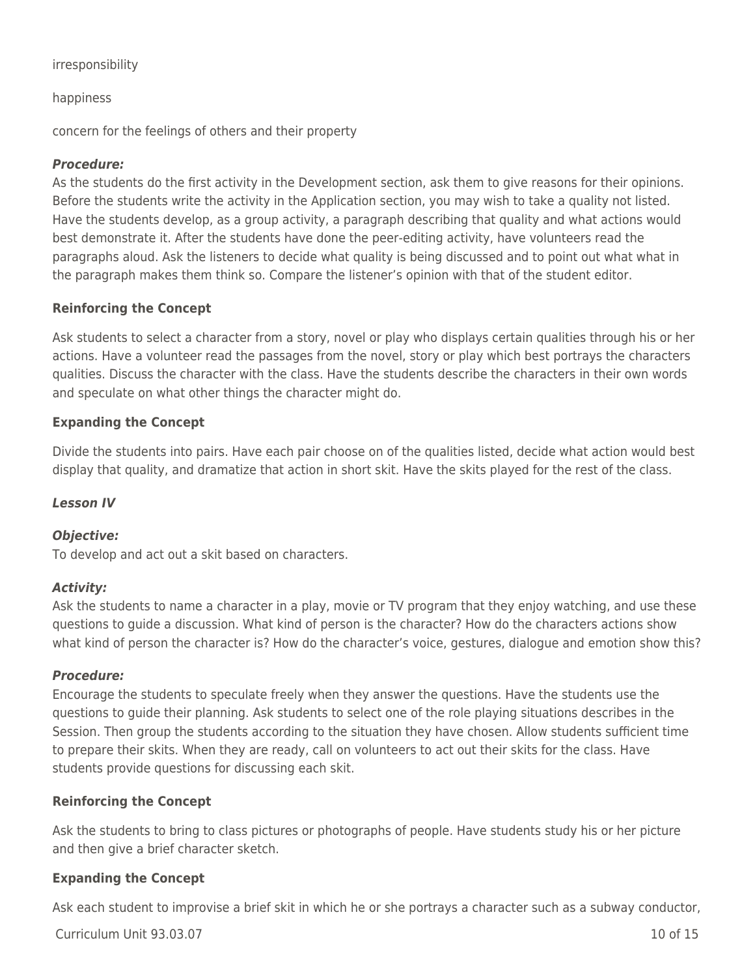#### irresponsibility

#### happiness

concern for the feelings of others and their property

#### *Procedure:*

As the students do the first activity in the Development section, ask them to give reasons for their opinions. Before the students write the activity in the Application section, you may wish to take a quality not listed. Have the students develop, as a group activity, a paragraph describing that quality and what actions would best demonstrate it. After the students have done the peer-editing activity, have volunteers read the paragraphs aloud. Ask the listeners to decide what quality is being discussed and to point out what what in the paragraph makes them think so. Compare the listener's opinion with that of the student editor.

#### **Reinforcing the Concept**

Ask students to select a character from a story, novel or play who displays certain qualities through his or her actions. Have a volunteer read the passages from the novel, story or play which best portrays the characters qualities. Discuss the character with the class. Have the students describe the characters in their own words and speculate on what other things the character might do.

#### **Expanding the Concept**

Divide the students into pairs. Have each pair choose on of the qualities listed, decide what action would best display that quality, and dramatize that action in short skit. Have the skits played for the rest of the class.

#### *Lesson IV*

## *Objective:*

To develop and act out a skit based on characters.

## *Activity:*

Ask the students to name a character in a play, movie or TV program that they enjoy watching, and use these questions to guide a discussion. What kind of person is the character? How do the characters actions show what kind of person the character is? How do the character's voice, gestures, dialogue and emotion show this?

#### *Procedure:*

Encourage the students to speculate freely when they answer the questions. Have the students use the questions to guide their planning. Ask students to select one of the role playing situations describes in the Session. Then group the students according to the situation they have chosen. Allow students sufficient time to prepare their skits. When they are ready, call on volunteers to act out their skits for the class. Have students provide questions for discussing each skit.

## **Reinforcing the Concept**

Ask the students to bring to class pictures or photographs of people. Have students study his or her picture and then give a brief character sketch.

## **Expanding the Concept**

Ask each student to improvise a brief skit in which he or she portrays a character such as a subway conductor,

Curriculum Unit 93.03.07 10 of 15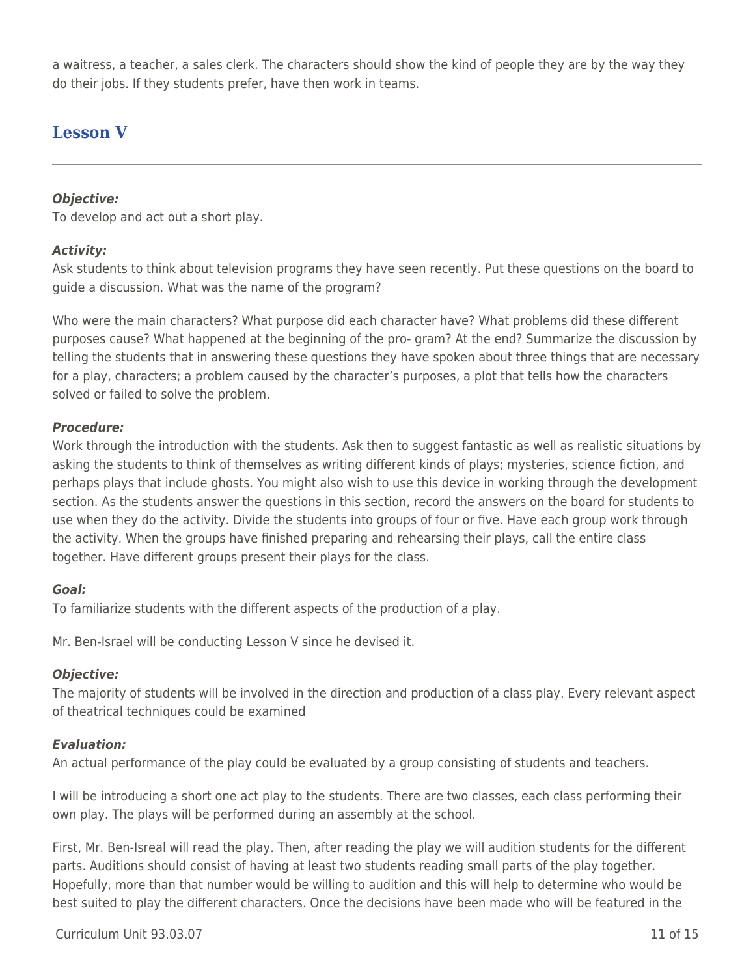a waitress, a teacher, a sales clerk. The characters should show the kind of people they are by the way they do their jobs. If they students prefer, have then work in teams.

# **Lesson V**

## *Objective:*

To develop and act out a short play.

## *Activity:*

Ask students to think about television programs they have seen recently. Put these questions on the board to guide a discussion. What was the name of the program?

Who were the main characters? What purpose did each character have? What problems did these different purposes cause? What happened at the beginning of the pro- gram? At the end? Summarize the discussion by telling the students that in answering these questions they have spoken about three things that are necessary for a play, characters; a problem caused by the character's purposes, a plot that tells how the characters solved or failed to solve the problem.

## *Procedure:*

Work through the introduction with the students. Ask then to suggest fantastic as well as realistic situations by asking the students to think of themselves as writing different kinds of plays; mysteries, science fiction, and perhaps plays that include ghosts. You might also wish to use this device in working through the development section. As the students answer the questions in this section, record the answers on the board for students to use when they do the activity. Divide the students into groups of four or five. Have each group work through the activity. When the groups have finished preparing and rehearsing their plays, call the entire class together. Have different groups present their plays for the class.

## *Goal:*

To familiarize students with the different aspects of the production of a play.

Mr. Ben-Israel will be conducting Lesson V since he devised it.

## *Objective:*

The majority of students will be involved in the direction and production of a class play. Every relevant aspect of theatrical techniques could be examined

## *Evaluation:*

An actual performance of the play could be evaluated by a group consisting of students and teachers.

I will be introducing a short one act play to the students. There are two classes, each class performing their own play. The plays will be performed during an assembly at the school.

First, Mr. Ben-Isreal will read the play. Then, after reading the play we will audition students for the different parts. Auditions should consist of having at least two students reading small parts of the play together. Hopefully, more than that number would be willing to audition and this will help to determine who would be best suited to play the different characters. Once the decisions have been made who will be featured in the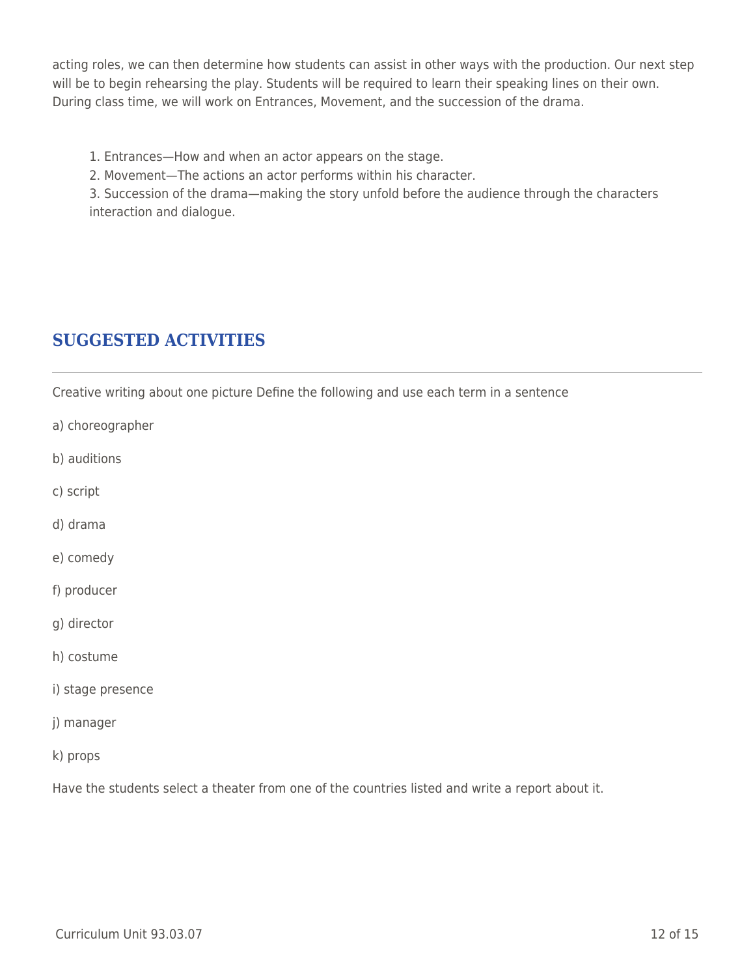acting roles, we can then determine how students can assist in other ways with the production. Our next step will be to begin rehearsing the play. Students will be reguired to learn their speaking lines on their own. During class time, we will work on Entrances, Movement, and the succession of the drama.

1. Entrances—How and when an actor appears on the stage.

2. Movement—The actions an actor performs within his character.

3. Succession of the drama—making the story unfold before the audience through the characters interaction and dialogue.

# **SUGGESTED ACTIVITIES**

Creative writing about one picture Define the following and use each term in a sentence

- a) choreographer
- b) auditions
- c) script
- d) drama
- e) comedy
- f) producer
- g) director
- h) costume
- i) stage presence
- j) manager
- k) props

Have the students select a theater from one of the countries listed and write a report about it.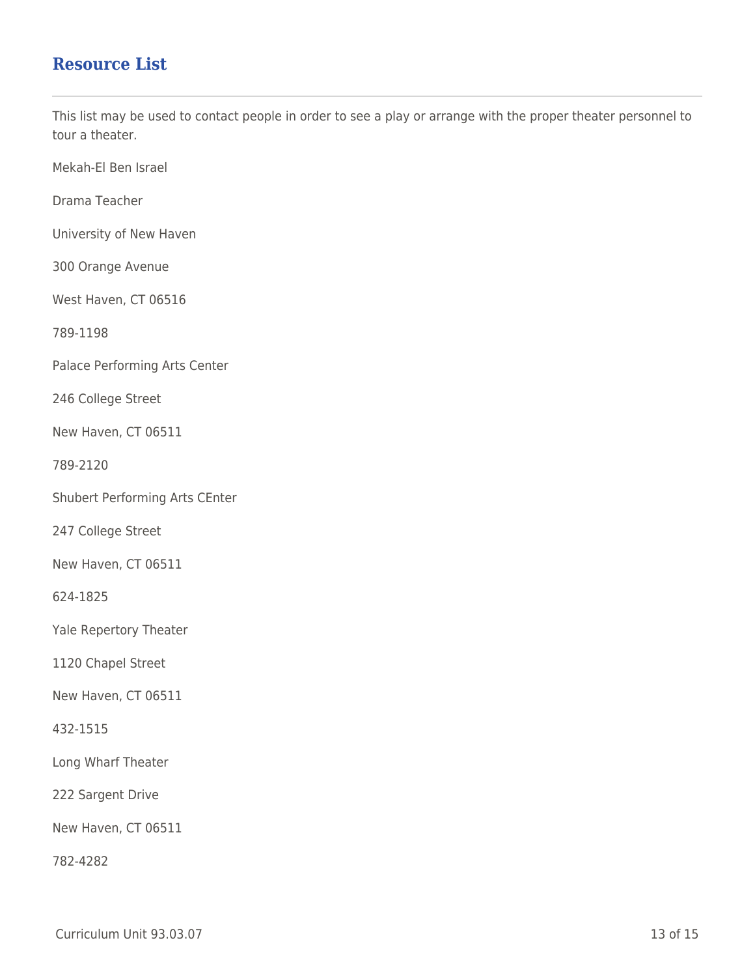## **Resource List**

This list may be used to contact people in order to see a play or arrange with the proper theater personnel to tour a theater.

Mekah-El Ben Israel

Drama Teacher

University of New Haven

300 Orange Avenue

West Haven, CT 06516

789-1198

Palace Performing Arts Center

246 College Street

New Haven, CT 06511

789-2120

Shubert Performing Arts CEnter

247 College Street

New Haven, CT 06511

624-1825

Yale Repertory Theater

1120 Chapel Street

New Haven, CT 06511

432-1515

Long Wharf Theater

222 Sargent Drive

New Haven, CT 06511

782-4282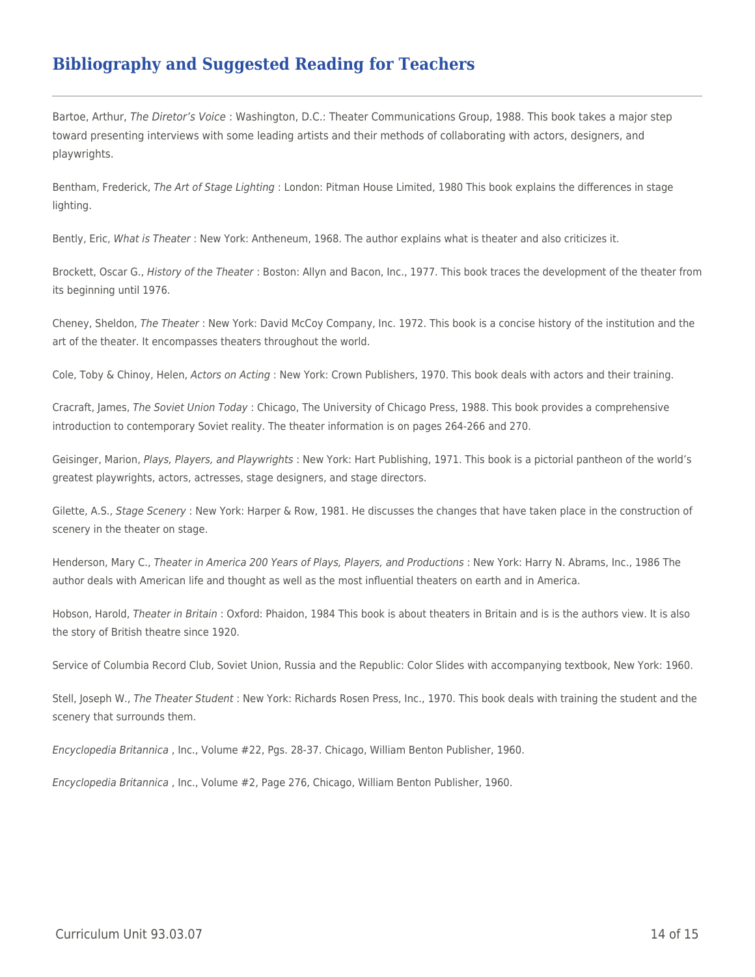# **Bibliography and Suggested Reading for Teachers**

Bartoe, Arthur, The Diretor's Voice : Washington, D.C.: Theater Communications Group, 1988. This book takes a major step toward presenting interviews with some leading artists and their methods of collaborating with actors, designers, and playwrights.

Bentham, Frederick, The Art of Stage Lighting : London: Pitman House Limited, 1980 This book explains the differences in stage lighting.

Bently, Eric, What is Theater : New York: Antheneum, 1968. The author explains what is theater and also criticizes it.

Brockett, Oscar G., History of the Theater : Boston: Allyn and Bacon, Inc., 1977. This book traces the development of the theater from its beginning until 1976.

Cheney, Sheldon, The Theater : New York: David McCoy Company, Inc. 1972. This book is a concise history of the institution and the art of the theater. It encompasses theaters throughout the world.

Cole, Toby & Chinoy, Helen, Actors on Acting : New York: Crown Publishers, 1970. This book deals with actors and their training.

Cracraft, James, The Soviet Union Today : Chicago, The University of Chicago Press, 1988. This book provides a comprehensive introduction to contemporary Soviet reality. The theater information is on pages 264-266 and 270.

Geisinger, Marion, Plays, Players, and Playwrights : New York: Hart Publishing, 1971. This book is a pictorial pantheon of the world's greatest playwrights, actors, actresses, stage designers, and stage directors.

Gilette, A.S., Stage Scenery: New York: Harper & Row, 1981. He discusses the changes that have taken place in the construction of scenery in the theater on stage.

Henderson, Mary C., Theater in America 200 Years of Plays, Players, and Productions : New York: Harry N. Abrams, Inc., 1986 The author deals with American life and thought as well as the most influential theaters on earth and in America.

Hobson, Harold, Theater in Britain: Oxford: Phaidon, 1984 This book is about theaters in Britain and is is the authors view. It is also the story of British theatre since 1920.

Service of Columbia Record Club, Soviet Union, Russia and the Republic: Color Slides with accompanying textbook, New York: 1960.

Stell, Joseph W., The Theater Student : New York: Richards Rosen Press, Inc., 1970. This book deals with training the student and the scenery that surrounds them.

Encyclopedia Britannica , Inc., Volume #22, Pgs. 28-37. Chicago, William Benton Publisher, 1960.

Encyclopedia Britannica , Inc., Volume #2, Page 276, Chicago, William Benton Publisher, 1960.